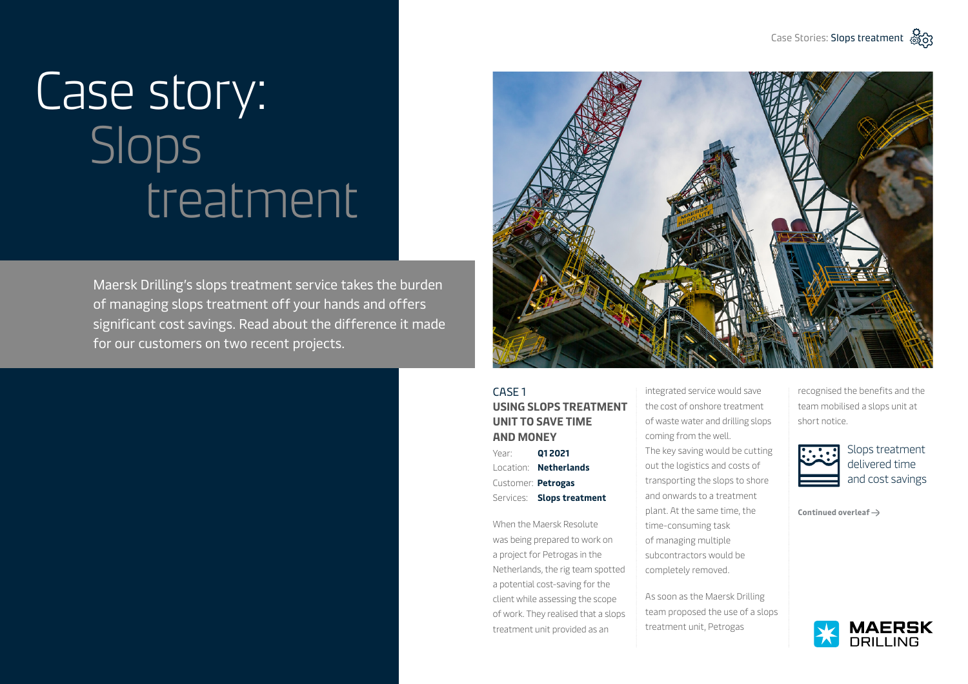## Case story: Slops treatment

Maersk Drilling's slops treatment service takes the burden of managing slops treatment off your hands and offers significant cost savings. Read about the difference it made for our customers on two recent projects.



## CASE 1 **USING SLOPS TREATMENT UNIT TO SAVE TIME AND MONEY**

Year: **Q1 2021** Location: **Netherlands** Customer: **Petrogas** Services: **Slops treatment**

When the Maersk Resolute was being prepared to work on a project for Petrogas in the Netherlands, the rig team spotted a potential cost-saving for the client while assessing the scope of work. They realised that a slops treatment unit provided as an

integrated service would save the cost of onshore treatment of waste water and drilling slops coming from the well. The key saving would be cutting out the logistics and costs of transporting the slops to shore and onwards to a treatment plant. At the same time, the time-consuming task of managing multiple subcontractors would be completely removed.

As soon as the Maersk Drilling team proposed the use of a slops treatment unit, Petrogas

recognised the benefits and the team mobilised a slops unit at short notice.



Slops treatment delivered time and cost savings

**Continued overleaf**